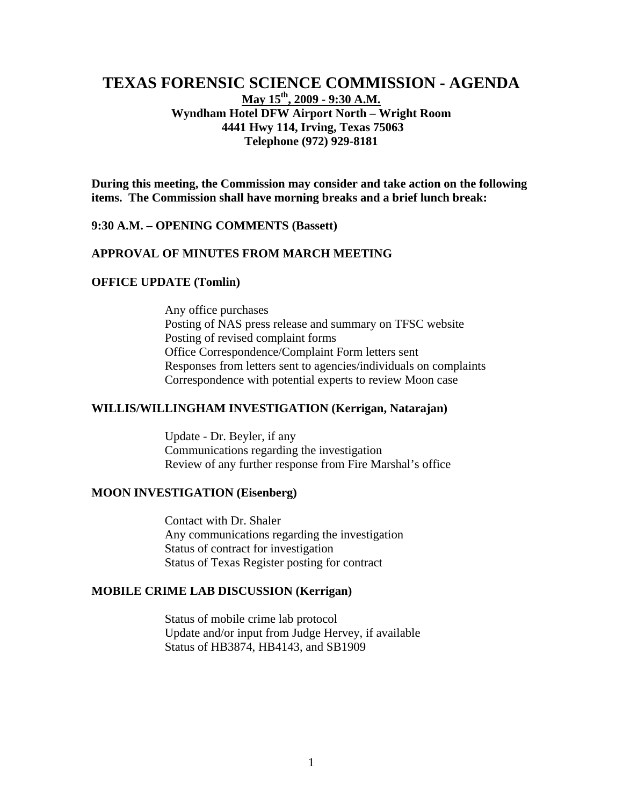# **TEXAS FORENSIC SCIENCE COMMISSION - AGENDA May 15th, 2009 - 9:30 A.M. Wyndham Hotel DFW Airport North – Wright Room 4441 Hwy 114, Irving, Texas 75063 Telephone (972) 929-8181**

**During this meeting, the Commission may consider and take action on the following items. The Commission shall have morning breaks and a brief lunch break:** 

#### **9:30 A.M. – OPENING COMMENTS (Bassett)**

### **APPROVAL OF MINUTES FROM MARCH MEETING**

#### **OFFICE UPDATE (Tomlin)**

Any office purchases Posting of NAS press release and summary on TFSC website Posting of revised complaint forms Office Correspondence/Complaint Form letters sent Responses from letters sent to agencies/individuals on complaints Correspondence with potential experts to review Moon case

### **WILLIS/WILLINGHAM INVESTIGATION (Kerrigan, Natarajan)**

Update - Dr. Beyler, if any Communications regarding the investigation Review of any further response from Fire Marshal's office

### **MOON INVESTIGATION (Eisenberg)**

Contact with Dr. Shaler Any communications regarding the investigation Status of contract for investigation Status of Texas Register posting for contract

#### **MOBILE CRIME LAB DISCUSSION (Kerrigan)**

Status of mobile crime lab protocol Update and/or input from Judge Hervey, if available Status of HB3874, HB4143, and SB1909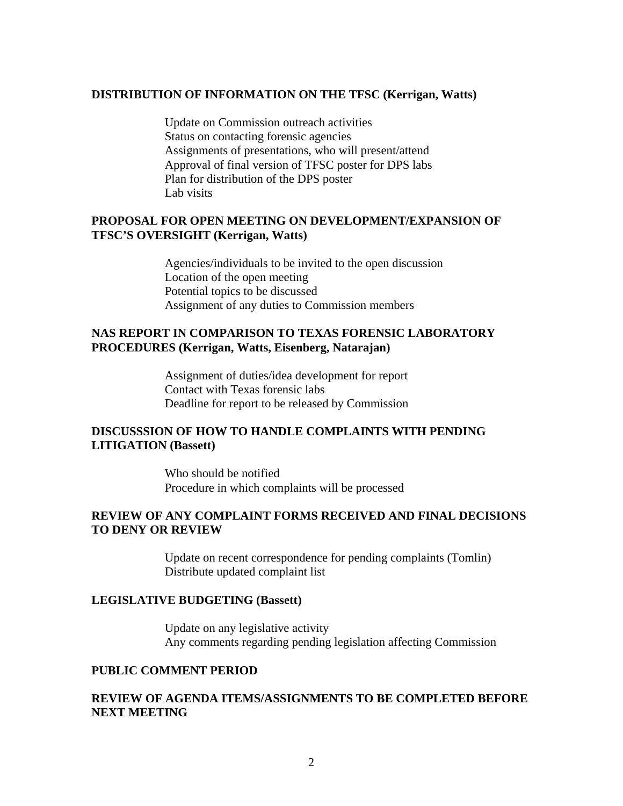#### **DISTRIBUTION OF INFORMATION ON THE TFSC (Kerrigan, Watts)**

Update on Commission outreach activities Status on contacting forensic agencies Assignments of presentations, who will present/attend Approval of final version of TFSC poster for DPS labs Plan for distribution of the DPS poster Lab visits

# **PROPOSAL FOR OPEN MEETING ON DEVELOPMENT/EXPANSION OF TFSC'S OVERSIGHT (Kerrigan, Watts)**

Agencies/individuals to be invited to the open discussion Location of the open meeting Potential topics to be discussed Assignment of any duties to Commission members

# **NAS REPORT IN COMPARISON TO TEXAS FORENSIC LABORATORY PROCEDURES (Kerrigan, Watts, Eisenberg, Natarajan)**

Assignment of duties/idea development for report Contact with Texas forensic labs Deadline for report to be released by Commission

# **DISCUSSSION OF HOW TO HANDLE COMPLAINTS WITH PENDING LITIGATION (Bassett)**

Who should be notified Procedure in which complaints will be processed

### **REVIEW OF ANY COMPLAINT FORMS RECEIVED AND FINAL DECISIONS TO DENY OR REVIEW**

Update on recent correspondence for pending complaints (Tomlin) Distribute updated complaint list

#### **LEGISLATIVE BUDGETING (Bassett)**

Update on any legislative activity Any comments regarding pending legislation affecting Commission

#### **PUBLIC COMMENT PERIOD**

## **REVIEW OF AGENDA ITEMS/ASSIGNMENTS TO BE COMPLETED BEFORE NEXT MEETING**